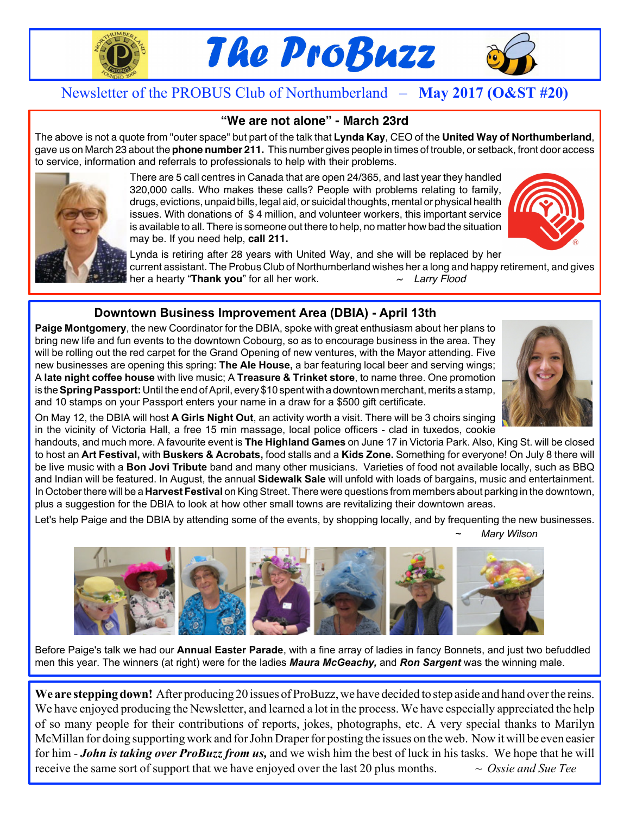

# The ProBuzz



# Newsletter of the PROBUS Club of Northumberland – **May 2017 (O&ST #20)**

### **"We are not alone" - March 23rd**

The above is not a quote from "outer space" but part of the talk that **Lynda Kay**, CEO of the **United Way of Northumberland**, gave us on March 23 about the **phone number 211.** This number gives people in times of trouble, or setback, front door access to service, information and referrals to professionals to help with their problems.



There are 5 call centres in Canada that are open 24/365, and last year they handled 320,000 calls. Who makes these calls? People with problems relating to family, drugs, evictions, unpaid bills, legal aid, or suicidal thoughts, mental or physical health issues. With donations of \$ 4 million, and volunteer workers, this important service is available to all. There is someone out there to help, no matter how bad the situation may be. If you need help, **call 211.**



Lynda is retiring after 28 years with United Way, and she will be replaced by her current assistant. The Probus Club of Northumberland wishes her a long and happy retirement, and gives her a hearty "**Thank you**" for all her work. *~ Larry Flood ...........*

### **Downtown Business Improvement Area (DBIA) - April 13th**

**Paige Montgomery**, the new Coordinator for the DBIA, spoke with great enthusiasm about her plans to bring new life and fun events to the downtown Cobourg, so as to encourage business in the area. They will be rolling out the red carpet for the Grand Opening of new ventures, with the Mayor attending. Five new businesses are opening this spring: **The Ale House,** a bar featuring local beer and serving wings; A **late night coffee house** with live music; A **Treasure & Trinket store**, to name three. One promotion is the **Spring Passport:** Until the end of April, every \$10 spent with a downtown merchant, merits a stamp, and 10 stamps on your Passport enters your name in a draw for a \$500 gift certificate.



On May 12, the DBIA will host **A Girls Night Out**, an activity worth a visit. There will be 3 choirs singing in the vicinity of Victoria Hall, a free 15 min massage, local police officers - clad in tuxedos, cookie

handouts, and much more. A favourite event is **The Highland Games** on June 17 in Victoria Park. Also, King St. will be closed to host an **Art Festival,** with **Buskers & Acrobats,** food stalls and a **Kids Zone.** Something for everyone! On July 8 there will be live music with a **Bon Jovi Tribute** band and many other musicians. Varieties of food not available locally, such as BBQ and Indian will be featured. In August, the annual **Sidewalk Sale** will unfold with loads of bargains, music and entertainment. In October there will be a **Harvest Festival** on King Street. There were questions from members about parking in the downtown, plus a suggestion for the DBIA to look at how other small towns are revitalizing their downtown areas.

Let's help Paige and the DBIA by attending some of the events, by shopping locally, and by frequenting the new businesses. *~ Mary Wilson*



Before Paige's talk we had our **Annual Easter Parade**, with a fine array of ladies in fancy Bonnets, and just two befuddled men this year. The winners (at right) were for the ladies *Maura McGeachy,* and *Ron Sargent* was the winning male.

**We are stepping down!** After producing 20 issues of ProBuzz,we have decided to step aside and hand overthe reins. We have enjoyed producing the Newsletter, and learned a lot in the process. We have especially appreciated the help of so many people for their contributions of reports, jokes, photographs, etc. A very special thanks to Marilyn McMillan for doing supporting work and for John Draper for posting the issues on the web. Now it will be even easier for him - *John is taking over ProBuzz from us,* and we wish him the best of luck in his tasks. We hope that he will receive the same sort of support that we have enjoyed over the last 20 plus months.  $\sim O$ ssie and Sue Tee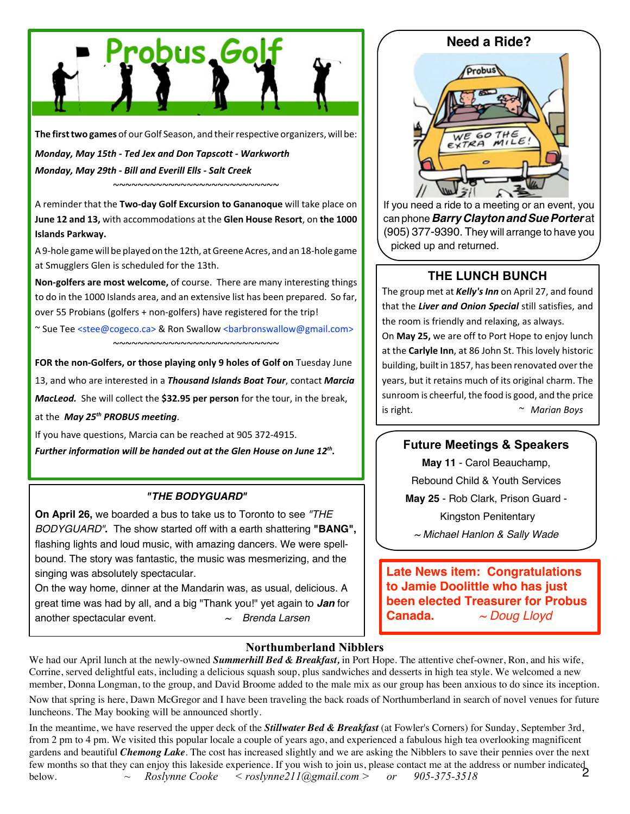

The first two games of our Golf Season, and their respective organizers, will be:

*Monday, May 15th - Ted Jex and Don Tapscott - Warkworth Monday, May 29th - Bill and Everill Ells - Salt Creek*

A reminder that the **Two-day Golf Excursion to Gananoque** will take place on **June 12 and 13,** with accommodations at the **Glen House Resort**, on **the 1000 Islands Parkway.**

~~~~~~~~~~~~~~~~~~~~~~~~~~~

A 9-hole game will be played on the 12th, at Greene Acres, and an 18-hole game at Smugglers Glen is scheduled for the 13th.

**Non-golfers are most welcome,** of course. There are many interesting things to do in the 1000 Islands area, and an extensive list has been prepared. So far, over 55 Probians (golfers + non-golfers) have registered for the trip!

~ Sue Tee <stee@cogeco.ca> & Ron Swallow <br/>sharpronswallow@gmail.com> ~~~~~~~~~~~~~~~~~~~~~~~~~~~

**FOR the non-Golfers, or those playing only 9 holes of Golf on** Tuesday June 13, and who are interested in a *Thousand Islands Boat Tour*, contact *Marcia*

*MacLeod.* She will collect the **\$32.95 per person** for the tour, in the break, at the *May 25th PROBUS meeting*.

If you have questions, Marcia can be reached at 905 372-4915. *Further information will be handed out at the Glen House on June 12th .*

#### *"THE BODYGUARD"*

**On April 26,** we boarded a bus to take us to Toronto to see *"THE BODYGUARD"***.** The show started off with a earth shattering **"BANG",** flashing lights and loud music, with amazing dancers. We were spellbound. The story was fantastic, the music was mesmerizing, and the singing was absolutely spectacular.

On the way home, dinner at the Mandarin was, as usual, delicious. A great time was had by all, and a big "Thank you!" yet again to *Jan* for another spectacular event. *~ Brenda Larsen*

# **Need a Ride? Probus** WE GO THE  $\frac{1}{2}$

If you need a ride to a meeting or an event, you can phone*Barry ClaytonandSuePorter* at (905) 377-9390. They will arrange to have you picked up and returned.

# **THE LUNCH BUNCH**

The group met at *Kelly's Inn* on April 27, and found that the *Liver and Onion Special* still satisfies, and the room is friendly and relaxing, as always. On **May 25,** we are off to Port Hope to enjoy lunch at the **Carlyle Inn**, at 86 John St. This lovely historic building, built in 1857, has been renovated over the years, but it retains much of its original charm. The sunroom is cheerful, the food is good, and the price is right. *~ Marian Boys*

#### **Future Meetings & Speakers**

**May 11** - Carol Beauchamp, Rebound Child & Youth Services **May 25** - Rob Clark, Prison Guard - Kingston Penitentary *~ Michael Hanlon & Sally Wade*

**Late News item: Congratulations to Jamie Doolittle who has just been elected Treasurer for Probus Canada.** *~ Doug Lloyd*

#### **Northumberland Nibblers**

We had our April lunch at the newly-owned *Summerhill Bed & Breakfast,* in Port Hope. The attentive chef-owner, Ron, and his wife, Corrine, served delightful eats, including a delicious squash soup, plus sandwiches and desserts in high tea style. We welcomed a new member, Donna Longman, to the group, and David Broome added to the male mix as our group has been anxious to do since its inception.

Now that spring is here, Dawn McGregor and I have been traveling the back roads of Northumberland in search of novel venues for future luncheons. The May booking will be announced shortly.

few months so that they can enjoy this lakeside experience. If you wish to join us, please contact me at the address or number indicated<br>below.  $\sim Roslvune \text{Cooke} \leq roslvone211 \text{Qemail} \text{com} > or 905-375-3518$ In the meantime, we have reserved the upper deck of the *Stillwater Bed & Breakfast* (at Fowler's Corners) for Sunday, September 3rd, from 2 pm to 4 pm. We visited this popular locale a couple of years ago, and experienced a fabulous high tea overlooking magnificent gardens and beautiful *Chemong Lake*. The cost has increased slightly and we are asking the Nibblers to save their pennies over the next below. *~ Roslynne Cooke < roslynne211@gmail.com > or 905-375-3518*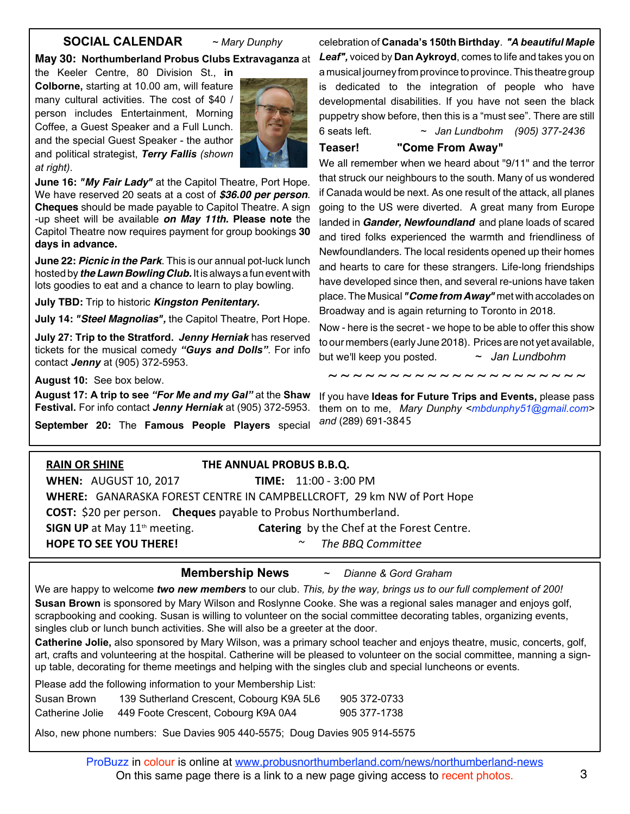#### **SOCIAL CALENDAR** *~ Mary Dunphy*

#### **May 30: Northumberland Probus Clubs Extravaganza** at

the Keeler Centre, 80 Division St., **in Colborne,** starting at 10.00 am, will feature many cultural activities. The cost of \$40 / person includes Entertainment, Morning Coffee, a Guest Speaker and a Full Lunch. and the special Guest Speaker - the author and political strategist, *Terry Fallis (shown at right)*.



**June 16:** *"My Fair Lady"* at the Capitol Theatre, Port Hope. We have reserved 20 seats at a cost of *\$36.00 per person*. **Cheques** should be made payable to Capitol Theatre. A sign -up sheet will be available *on May 11th.* **Please note** the Capitol Theatre now requires payment for group bookings **30 days in advance.**

**June 22:** *Picnic in the Park*. This is our annual pot-luck lunch hosted by *theLawn Bowling Club.* It is always a fun event with lots goodies to eat and a chance to learn to play bowling.

**July TBD:** Trip to historic *Kingston Penitentary.*

**July 14:** *"Steel Magnolias",* the Capitol Theatre, Port Hope.

**July 27: Trip to the Stratford.** *Jenny Herniak* has reserved tickets for the musical comedy *"Guys and Dolls"*. For info contact *Jenny* at (905) 372-5953.

**August 10:** See box below.

**August 17: A trip to see** *"For Me and my Gal"* at the **Shaw Festival.** For info contact *Jenny Herniak* at (905) 372-5953.

**September 20:** The **Famous People Players** special

celebration of **Canada's 150th Birthday**. *"A beautiful Maple Leaf",* voiced by **Dan Aykroyd**, comes to life and takes you on a musical journey from province to province.This theatre group is dedicated to the integration of people who have developmental disabilities. If you have not seen the black puppetry show before, then this is a "must see". There are still 6 seats left. *~ Jan Lundbohm (905) 377-2436*

# **Teaser! "Come From Away"**

We all remember when we heard about "9/11" and the terror that struck our neighbours to the south. Many of us wondered if Canada would be next. As one result of the attack, all planes going to the US were diverted. A great many from Europe landed in *Gander, Newfoundland* and plane loads of scared and tired folks experienced the warmth and friendliness of Newfoundlanders. The local residents opened up their homes and hearts to care for these strangers. Life-long friendships have developed since then, and several re-unions have taken place.The Musical *"Come from Away"* met with accolades on Broadway and is again returning to Toronto in 2018.

Now - here is the secret - we hope to be able to offer this show to our members (early June 2018). Prices are not yet available, but we'll keep you posted. *~ Jan Lundbohm*

~ ~ ~ ~ ~ ~ ~ ~ ~ ~ ~ ~ ~ ~ ~ ~ ~ ~ ~ ~ ~

If you have **Ideas for Future Trips and Events,** please pass them on to me, *Mary Dunphy <mbdunphy51@gmail.com> and* (289) 691-3845

| <b>RAIN OR SHINE</b>                                                           | THE ANNUAL PROBUS B.B.Q.                          |  |  |
|--------------------------------------------------------------------------------|---------------------------------------------------|--|--|
| <b>WHEN: AUGUST 10, 2017</b>                                                   | <b>TIME:</b> 11:00 - 3:00 PM                      |  |  |
| <b>WHERE:</b> GANARASKA FOREST CENTRE IN CAMPBELLCROFT, 29 km NW of Port Hope  |                                                   |  |  |
| <b>COST:</b> \$20 per person. <b>Cheques</b> payable to Probus Northumberland. |                                                   |  |  |
| SIGN UP at May 11 <sup>th</sup> meeting.                                       | <b>Catering</b> by the Chef at the Forest Centre. |  |  |
| <b>HOPE TO SEE YOU THERE!</b>                                                  | The BBQ Committee<br>$\sim$                       |  |  |
|                                                                                |                                                   |  |  |

#### **Membership News** *~ Dianne & Gord Graham*

We are happy to welcome *two new members* to our club. *This, by the way, brings us to our full complement of 200!* **Susan Brown** is sponsored by Mary Wilson and Roslynne Cooke. She was a regional sales manager and enjoys golf, scrapbooking and cooking. Susan is willing to volunteer on the social committee decorating tables, organizing events,

singles club or lunch bunch activities. She will also be a greeter at the door.

**Catherine Jolie,** also sponsored by Mary Wilson, was a primary school teacher and enjoys theatre, music, concerts, golf, art, crafts and volunteering at the hospital. Catherine will be pleased to volunteer on the social committee, manning a signup table, decorating for theme meetings and helping with the singles club and special luncheons or events.

|                 | Please add the following information to your Membership List: |              |
|-----------------|---------------------------------------------------------------|--------------|
| Susan Brown     | 139 Sutherland Crescent, Cobourg K9A 5L6                      | 905 372-0733 |
| Catherine Jolie | 449 Foote Crescent, Cobourg K9A 0A4                           | 905 377-1738 |

Also, new phone numbers: Sue Davies 905 440-5575; Doug Davies 905 914-5575

ProBuzz in colour is online at www.probusnorthumberland.com/news/northumberland-news On this same page there is a link to a new page giving access to recent photos.